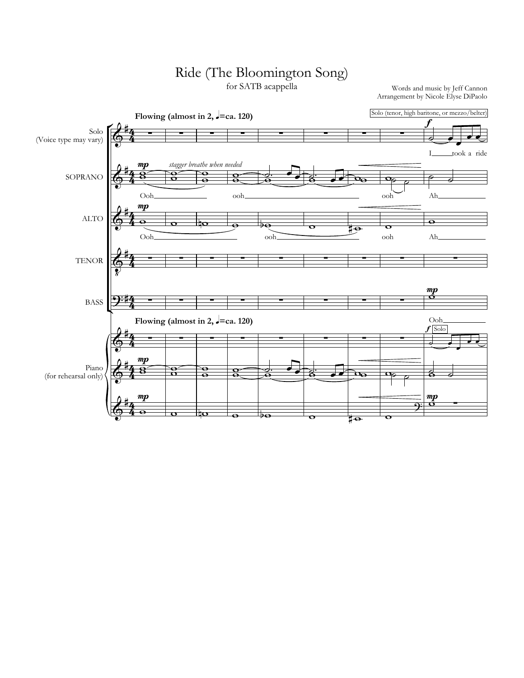## Ride (The Bloomington Song)

for SATB acappella

Words and music by Jeff Cannon Arrangement by Nicole Elyse DiPaolo

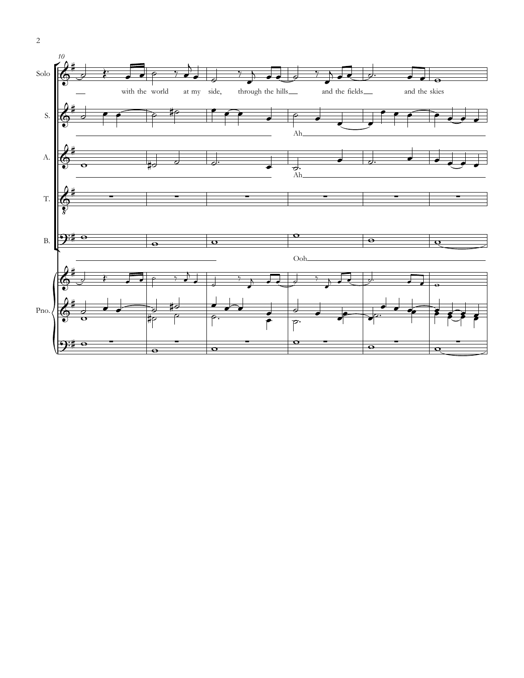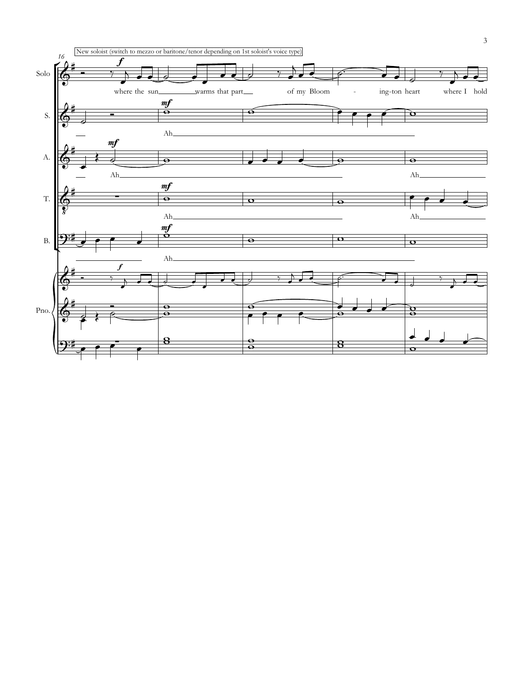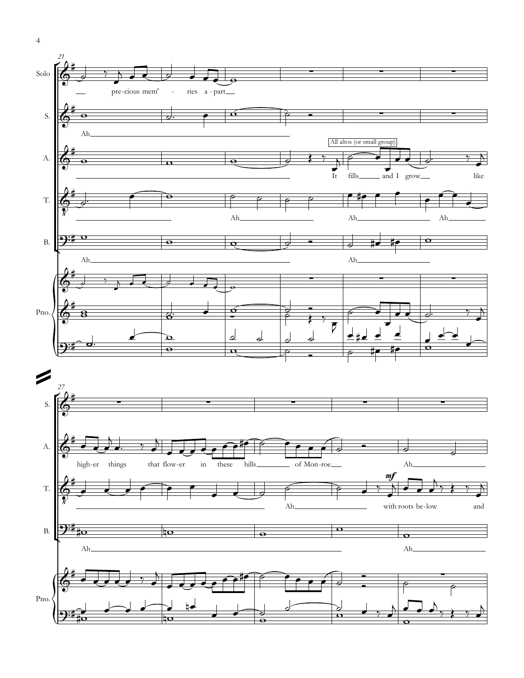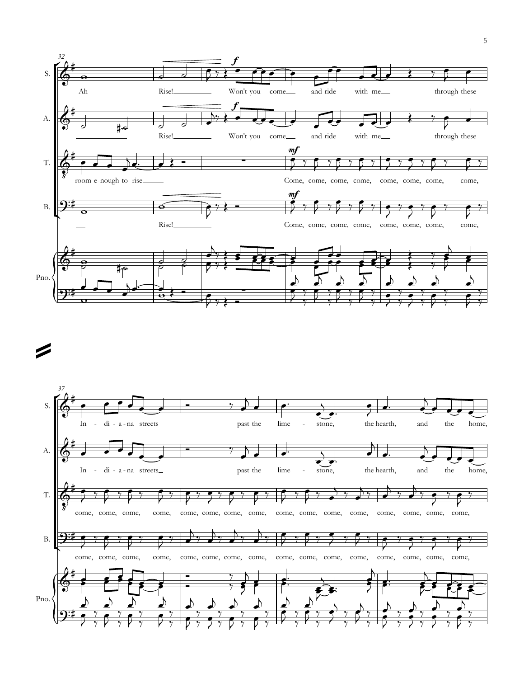



Í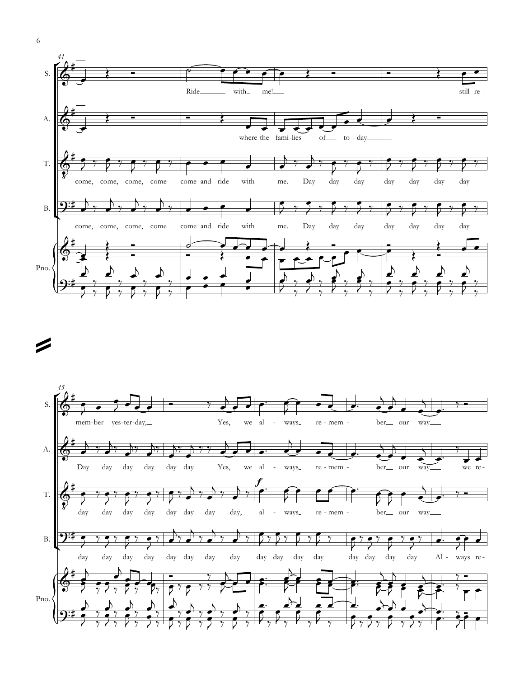



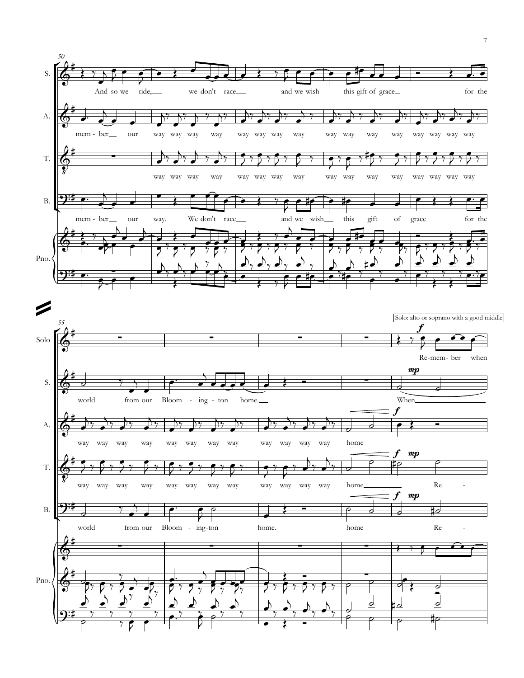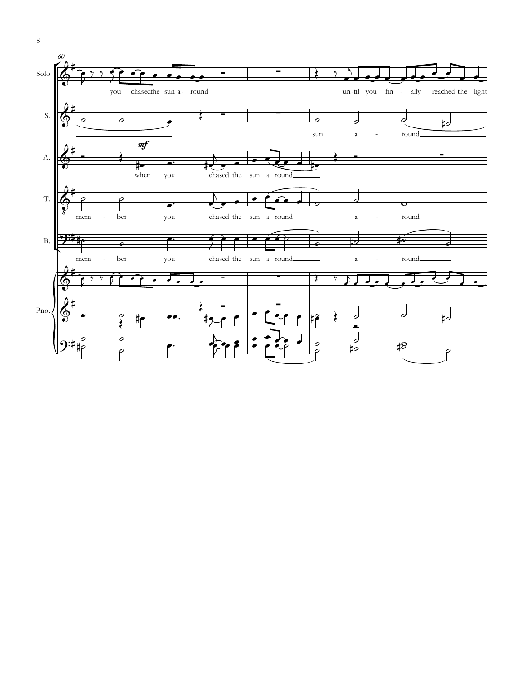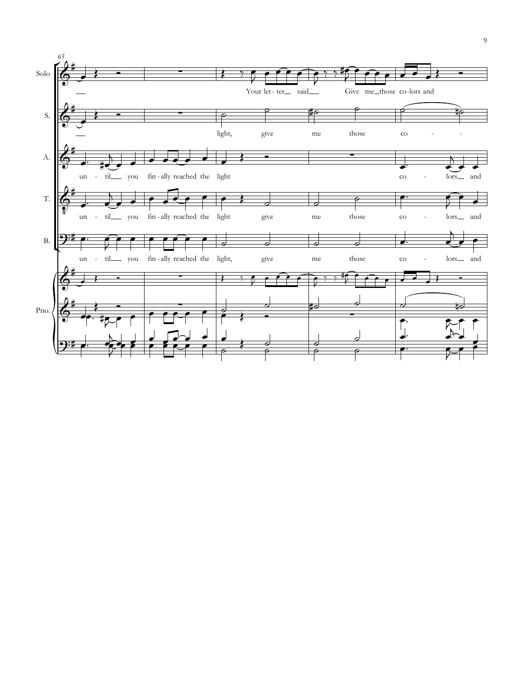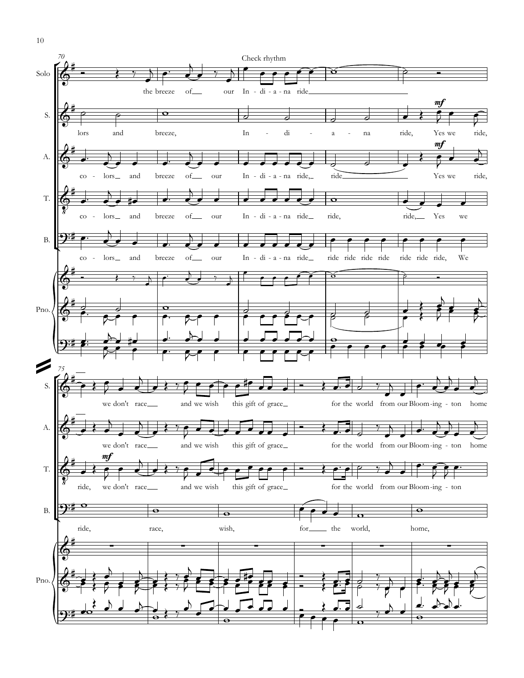